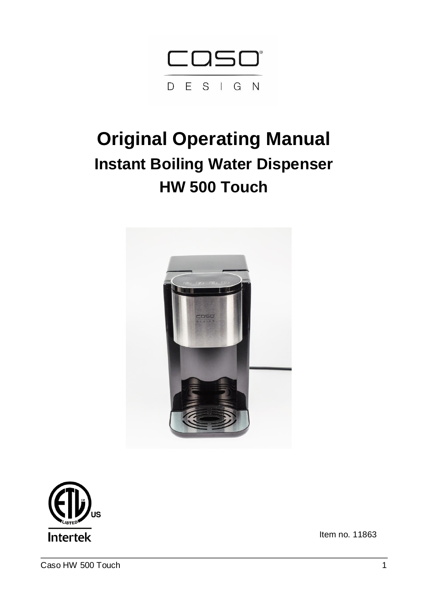

# **Original Operating Manual Instant Boiling Water Dispenser HW 500 Touch**





Item no. 11863

Caso HW 500 Touch 1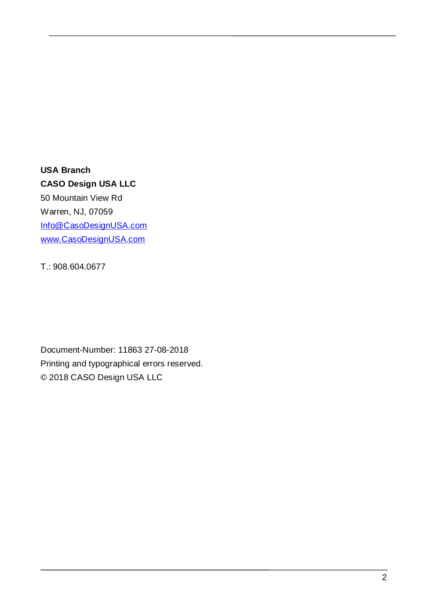# **USA Branch CASO Design USA LLC**

50 Mountain View Rd Warren, NJ, 07059 [Info@CasoDesignUSA.com](mailto:Info@CasoDesignUSA.com) [www.CasoDesignUSA.com](http://www.casodesignusa.com/)

T.: 908.604.0677

Document-Number: 11863 27-08-2018 Printing and typographical errors reserved. © 2018 CASO Design USA LLC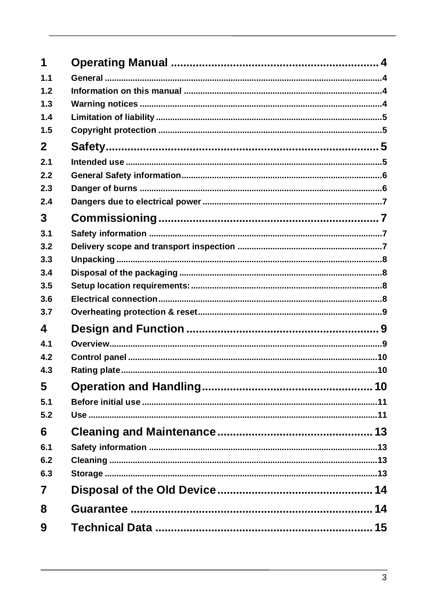| 1              |  |
|----------------|--|
| 1.1            |  |
| 1.2            |  |
| 1.3            |  |
| 1.4            |  |
| 1.5            |  |
| $\mathbf{2}$   |  |
| 2.1            |  |
| 2.2            |  |
| 2.3            |  |
| 2.4            |  |
| 3              |  |
| 3.1            |  |
| 3.2            |  |
| 3.3            |  |
| 3.4            |  |
| 3.5            |  |
| 3.6            |  |
| 3.7            |  |
| 4              |  |
| 4.1            |  |
| 4.2            |  |
| 4.3            |  |
| 5              |  |
| 5.1            |  |
| 5.2            |  |
| 6              |  |
| 6.1            |  |
| 6.2            |  |
| 6.3            |  |
| $\overline{7}$ |  |
| 8              |  |
| 9              |  |
|                |  |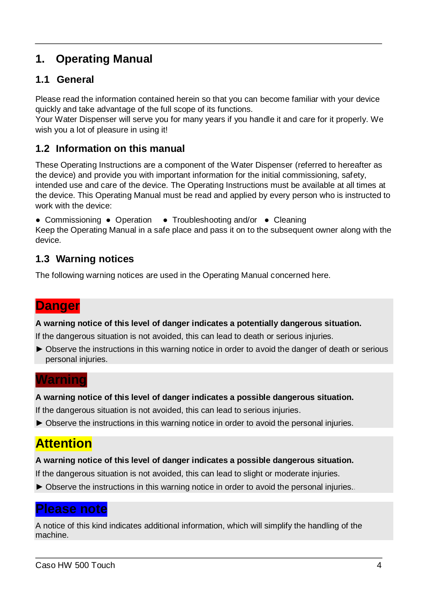# **1. Operating Manual**

### **1.1 General**

Please read the information contained herein so that you can become familiar with your device quickly and take advantage of the full scope of its functions.

Your Water Dispenser will serve you for many years if you handle it and care for it properly. We wish you a lot of pleasure in using it!

#### **1.2 Information on this manual**

These Operating Instructions are a component of the Water Dispenser (referred to hereafter as the device) and provide you with important information for the initial commissioning, safety, intended use and care of the device. The Operating Instructions must be available at all times at the device. This Operating Manual must be read and applied by every person who is instructed to work with the device:

● Commissioning ● Operation ● Troubleshooting and/or ● Cleaning Keep the Operating Manual in a safe place and pass it on to the subsequent owner along with the device.

### **1.3 Warning notices**

The following warning notices are used in the Operating Manual concerned here.

# **Danger**

**A warning notice of this level of danger indicates a potentially dangerous situation.**

If the dangerous situation is not avoided, this can lead to death or serious injuries.

► Observe the instructions in this warning notice in order to avoid the danger of death or serious personal injuries.

### **Warning**

#### **A warning notice of this level of danger indicates a possible dangerous situation.**

If the dangerous situation is not avoided, this can lead to serious injuries.

► Observe the instructions in this warning notice in order to avoid the personal injuries.

# **Attention**

#### **A warning notice of this level of danger indicates a possible dangerous situation.**

If the dangerous situation is not avoided, this can lead to slight or moderate injuries.

▶ Observe the instructions in this warning notice in order to avoid the personal injuries.

### **Please note**

A notice of this kind indicates additional information, which will simplify the handling of the machine.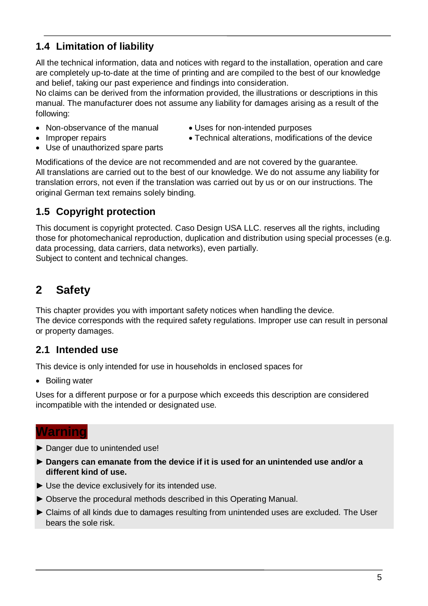### **1.4 Limitation of liability**

All the technical information, data and notices with regard to the installation, operation and care are completely up-to-date at the time of printing and are compiled to the best of our knowledge and belief, taking our past experience and findings into consideration.

No claims can be derived from the information provided, the illustrations or descriptions in this manual. The manufacturer does not assume any liability for damages arising as a result of the following:

- Non-observance of the manual Uses for non-intended purposes
	-
- 
- Improper repairs **Improper repairs Technical alterations, modifications of the device**
- Use of unauthorized spare parts

Modifications of the device are not recommended and are not covered by the guarantee. All translations are carried out to the best of our knowledge. We do not assume any liability for translation errors, not even if the translation was carried out by us or on our instructions. The original German text remains solely binding.

### **1.5 Copyright protection**

This document is copyright protected. Caso Design USA LLC. reserves all the rights, including those for photomechanical reproduction, duplication and distribution using special processes (e.g. data processing, data carriers, data networks), even partially. Subject to content and technical changes.

# **2 Safety**

This chapter provides you with important safety notices when handling the device. The device corresponds with the required safety regulations. Improper use can result in personal or property damages.

### **2.1 Intended use**

This device is only intended for use in households in enclosed spaces for

• Boiling water

Uses for a different purpose or for a purpose which exceeds this description are considered incompatible with the intended or designated use.

### **Warning**

- ► Danger due to unintended use!
- ► **Dangers can emanate from the device if it is used for an unintended use and/or a different kind of use.**
- ► Use the device exclusively for its intended use.
- ► Observe the procedural methods described in this Operating Manual.
- ► Claims of all kinds due to damages resulting from unintended uses are excluded. The User bears the sole risk.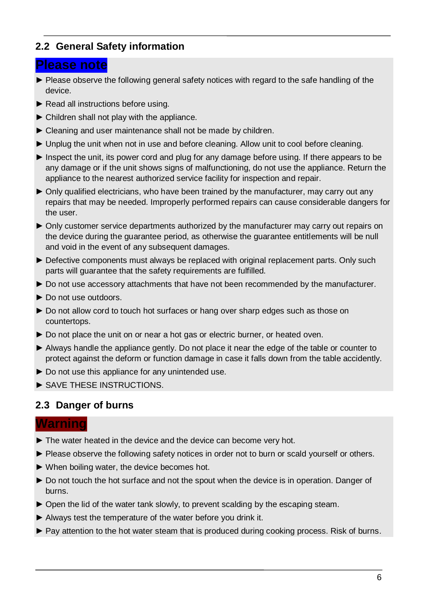#### **2.2 General Safety information**

#### **Please note**

- ► Please observe the following general safety notices with regard to the safe handling of the device.
- ► Read all instructions before using.
- $\blacktriangleright$  Children shall not play with the appliance.
- ► Cleaning and user maintenance shall not be made by children.
- ► Unplug the unit when not in use and before cleaning. Allow unit to cool before cleaning.
- ► Inspect the unit, its power cord and plug for any damage before using. If there appears to be any damage or if the unit shows signs of malfunctioning, do not use the appliance. Return the appliance to the nearest authorized service facility for inspection and repair.
- ► Only qualified electricians, who have been trained by the manufacturer, may carry out any repairs that may be needed. Improperly performed repairs can cause considerable dangers for the user.
- ► Only customer service departments authorized by the manufacturer may carry out repairs on the device during the guarantee period, as otherwise the guarantee entitlements will be null and void in the event of any subsequent damages.
- ► Defective components must always be replaced with original replacement parts. Only such parts will guarantee that the safety requirements are fulfilled.
- ► Do not use accessory attachments that have not been recommended by the manufacturer.
- ► Do not use outdoors.
- ► Do not allow cord to touch hot surfaces or hang over sharp edges such as those on countertops.
- ► Do not place the unit on or near a hot gas or electric burner, or heated oven.
- ► Always handle the appliance gently. Do not place it near the edge of the table or counter to protect against the deform or function damage in case it falls down from the table accidently.
- ► Do not use this appliance for any unintended use.
- ► SAVE THESE INSTRUCTIONS.

### **2.3 Danger of burns**

#### **Warning**

- ► The water heated in the device and the device can become very hot.
- ► Please observe the following safety notices in order not to burn or scald yourself or others.
- ► When boiling water, the device becomes hot.
- ► Do not touch the hot surface and not the spout when the device is in operation. Danger of burns.
- ► Open the lid of the water tank slowly, to prevent scalding by the escaping steam.
- ► Always test the temperature of the water before you drink it.
- ► Pay attention to the hot water steam that is produced during cooking process. Risk of burns.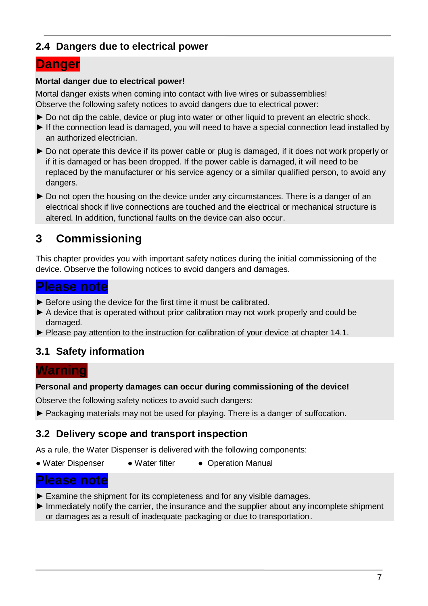#### **2.4 Dangers due to electrical power**

# **Danger**

#### **Mortal danger due to electrical power!**

Mortal danger exists when coming into contact with live wires or subassemblies! Observe the following safety notices to avoid dangers due to electrical power:

- ▶ Do not dip the cable, device or plug into water or other liquid to prevent an electric shock.
- ► If the connection lead is damaged, you will need to have a special connection lead installed by an authorized electrician.
- ► Do not operate this device if its power cable or plug is damaged, if it does not work properly or if it is damaged or has been dropped. If the power cable is damaged, it will need to be replaced by the manufacturer or his service agency or a similar qualified person, to avoid any dangers.
- ► Do not open the housing on the device under any circumstances. There is a danger of an electrical shock if live connections are touched and the electrical or mechanical structure is altered. In addition, functional faults on the device can also occur.

# **3 Commissioning**

This chapter provides you with important safety notices during the initial commissioning of the device. Observe the following notices to avoid dangers and damages.

### **Please note**

- ► Before using the device for the first time it must be calibrated.
- ► A device that is operated without prior calibration may not work properly and could be damaged.
- ► Please pay attention to the instruction for calibration of your device at chapter 14.1.

### **3.1 Safety information**

#### **Warning**

#### **Personal and property damages can occur during commissioning of the device!**

Observe the following safety notices to avoid such dangers:

► Packaging materials may not be used for playing. There is a danger of suffocation.

#### **3.2 Delivery scope and transport inspection**

As a rule, the Water Dispenser is delivered with the following components:

• Water Dispenser • Water filter • Operation Manual

### **Please note**

- ► Examine the shipment for its completeness and for any visible damages.
- ► Immediately notify the carrier, the insurance and the supplier about any incomplete shipment or damages as a result of inadequate packaging or due to transportation.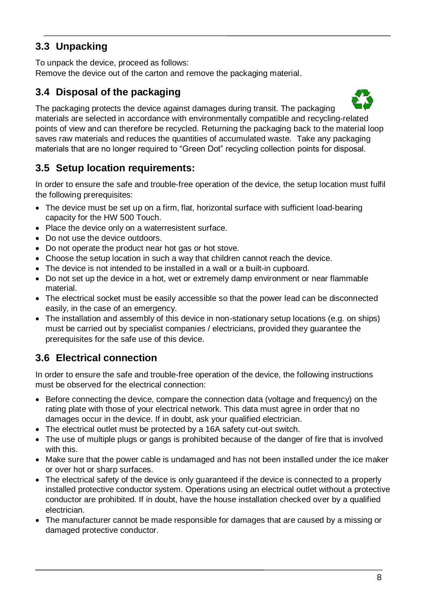### **3.3 Unpacking**

To unpack the device, proceed as follows:

Remove the device out of the carton and remove the packaging material.

### **3.4 Disposal of the packaging**



The packaging protects the device against damages during transit. The packaging materials are selected in accordance with environmentally compatible and recycling-related points of view and can therefore be recycled. Returning the packaging back to the material loop saves raw materials and reduces the quantities of accumulated waste. Take any packaging materials that are no longer required to "Green Dot" recycling collection points for disposal.

### **3.5 Setup location requirements:**

In order to ensure the safe and trouble-free operation of the device, the setup location must fulfil the following prerequisites:

- The device must be set up on a firm, flat, horizontal surface with sufficient load-bearing capacity for the HW 500 Touch.
- Place the device only on a waterresistent surface.
- Do not use the device outdoors.
- Do not operate the product near hot gas or hot stove.
- Choose the setup location in such a way that children cannot reach the device.
- The device is not intended to be installed in a wall or a built-in cupboard.
- Do not set up the device in a hot, wet or extremely damp environment or near flammable material.
- The electrical socket must be easily accessible so that the power lead can be disconnected easily, in the case of an emergency.
- The installation and assembly of this device in non-stationary setup locations (e.g. on ships) must be carried out by specialist companies / electricians, provided they guarantee the prerequisites for the safe use of this device.

# **3.6 Electrical connection**

In order to ensure the safe and trouble-free operation of the device, the following instructions must be observed for the electrical connection:

- Before connecting the device, compare the connection data (voltage and frequency) on the rating plate with those of your electrical network. This data must agree in order that no damages occur in the device. If in doubt, ask your qualified electrician.
- The electrical outlet must be protected by a 16A safety cut-out switch.
- The use of multiple plugs or gangs is prohibited because of the danger of fire that is involved with this.
- Make sure that the power cable is undamaged and has not been installed under the ice maker or over hot or sharp surfaces.
- The electrical safety of the device is only guaranteed if the device is connected to a properly installed protective conductor system. Operations using an electrical outlet without a protective conductor are prohibited. If in doubt, have the house installation checked over by a qualified electrician.
- The manufacturer cannot be made responsible for damages that are caused by a missing or damaged protective conductor.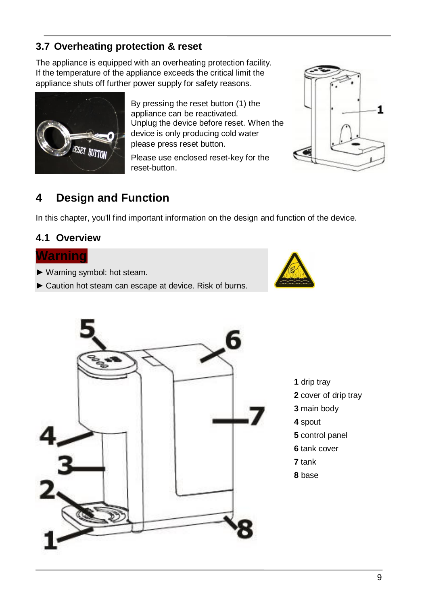# **3.7 Overheating protection & reset**

The appliance is equipped with an overheating protection facility. If the temperature of the appliance exceeds the critical limit the appliance shuts off further power supply for safety reasons.



By pressing the reset button (1) the appliance can be reactivated. Unplug the device before reset. When the device is only producing cold water please press reset button.

Please use enclosed reset-key for the reset-button.



# **4 Design and Function**

In this chapter, you'll find important information on the design and function of the device.

#### **4.1 Overview**

#### **Warning**

- ► Warning symbol: hot steam.
- ► Caution hot steam can escape at device. Risk of burns.



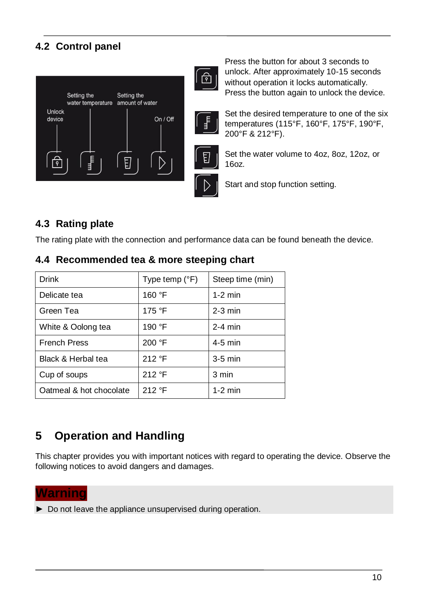### **4.2 Control panel**



 Press the button for about 3 seconds to unlock. After approximately 10-15 seconds without operation it locks automatically. Press the button again to unlock the device.



नि

Set the desired temperature to one of the six temperatures (115°F, 160°F, 175°F, 190°F, 200°F & 212°F).

Set the water volume to 4oz, 8oz, 12oz, or 16oz.

Start and stop function setting.

### **4.3 Rating plate**

The rating plate with the connection and performance data can be found beneath the device.

| <b>Drink</b>            | Type temp $(^{\circ}F)$ | Steep time (min) |
|-------------------------|-------------------------|------------------|
| Delicate tea            | 160 °F                  | $1-2$ min        |
| Green Tea               | 175 °F                  | $2-3$ min        |
| White & Oolong tea      | 190 °F                  | $2-4$ min        |
| <b>French Press</b>     | 200 °F                  | $4-5$ min        |
| Black & Herbal tea      | 212 °F                  | $3-5$ min        |
| Cup of soups            | 212 °F                  | 3 min            |
| Oatmeal & hot chocolate | 212 °F                  | $1-2$ min        |

### **4.4 Recommended tea & more steeping chart**

# **5 Operation and Handling**

This chapter provides you with important notices with regard to operating the device. Observe the following notices to avoid dangers and damages.

#### **Warning**

► Do not leave the appliance unsupervised during operation.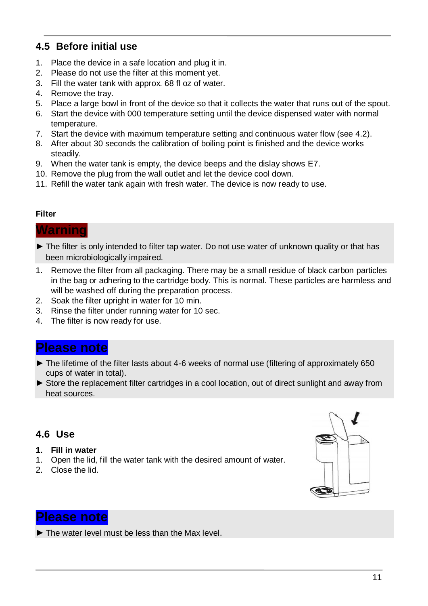#### **4.5 Before initial use**

- 1. Place the device in a safe location and plug it in.
- 2. Please do not use the filter at this moment yet.
- 3. Fill the water tank with approx. 68 fl oz of water.
- 4. Remove the tray.
- 5. Place a large bowl in front of the device so that it collects the water that runs out of the spout.
- 6. Start the device with 000 temperature setting until the device dispensed water with normal temperature.
- 7. Start the device with maximum temperature setting and continuous water flow (see 4.2).
- 8. After about 30 seconds the calibration of boiling point is finished and the device works steadily.
- 9. When the water tank is empty, the device beeps and the dislay shows E7.
- 10. Remove the plug from the wall outlet and let the device cool down.
- 11. Refill the water tank again with fresh water. The device is now ready to use.

#### **Filter**

#### **Warning**

- ► The filter is only intended to filter tap water. Do not use water of unknown quality or that has been microbiologically impaired.
- 1. Remove the filter from all packaging. There may be a small residue of black carbon particles in the bag or adhering to the cartridge body. This is normal. These particles are harmless and will be washed off during the preparation process.
- 2. Soak the filter upright in water for 10 min.
- 3. Rinse the filter under running water for 10 sec.
- 4. The filter is now ready for use.

### **Please note**

- ► The lifetime of the filter lasts about 4-6 weeks of normal use (filtering of approximately 650 cups of water in total).
- ► Store the replacement filter cartridges in a cool location, out of direct sunlight and away from heat sources.

#### **4.6 Use**

- **1. Fill in water**
- 1. Open the lid, fill the water tank with the desired amount of water.
- 2. Close the lid.



### **Please note**

 $\blacktriangleright$  The water level must be less than the Max level.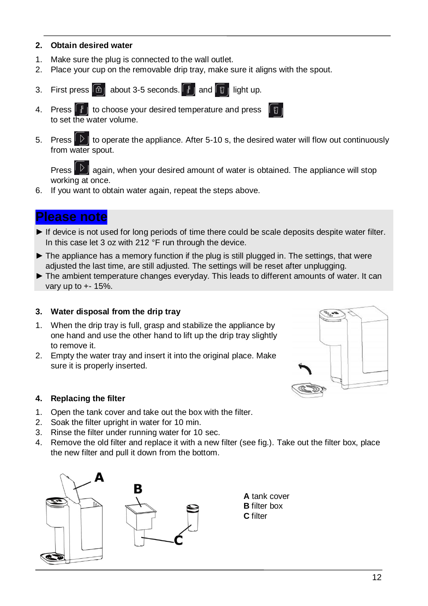#### **2. Obtain desired water**

- 1. Make sure the plug is connected to the wall outlet.
- 2. Place your cup on the removable drip tray, make sure it aligns with the spout.
- 3. First press  $\boxed{\text{a}}$  about 3-5 seconds.  $\boxed{\frac{1}{2}}$  and  $\boxed{\frac{1}{2}}$  light up.
- 4. Press  $\begin{array}{|c|c|c|c|c|}\n\hline\n\text{#} & \text{to choose your desired temperature and press}\n\end{array}$ to set the water volume.
- 5. Press  $\Box$  to operate the appliance. After 5-10 s, the desired water will flow out continuously from water spout.

Press  $\mathbb{P}$  again, when your desired amount of water is obtained. The appliance will stop working at once.

6. If you want to obtain water again, repeat the steps above.

### **Please note**

- ► If device is not used for long periods of time there could be scale deposits despite water filter. In this case let 3 oz with 212 °F run through the device.
- ► The appliance has a memory function if the plug is still plugged in. The settings, that were adjusted the last time, are still adjusted. The settings will be reset after unplugging.
- ► The ambient temperature changes everyday. This leads to different amounts of water. It can vary up to  $++15\%$ .

#### **3. Water disposal from the drip tray**

- 1. When the drip tray is full, grasp and stabilize the appliance by one hand and use the other hand to lift up the drip tray slightly to remove it.
- 2. Empty the water tray and insert it into the original place. Make sure it is properly inserted.



#### **4. Replacing the filter**

- 1. Open the tank cover and take out the box with the filter.
- 2. Soak the filter upright in water for 10 min.
- 3. Rinse the filter under running water for 10 sec.
- 4. Remove the old filter and replace it with a new filter (see fig.). Take out the filter box, place the new filter and pull it down from the bottom.

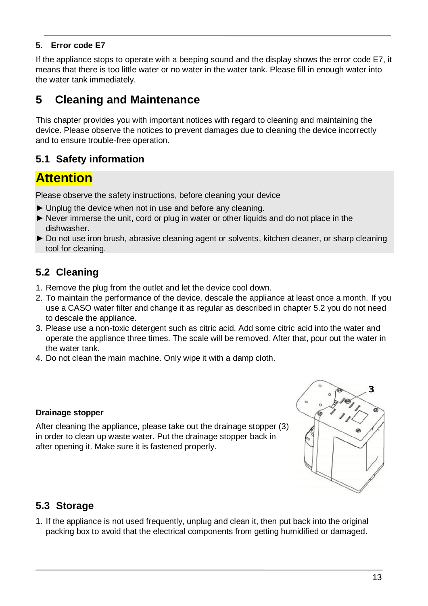#### **5. Error code E7**

If the appliance stops to operate with a beeping sound and the display shows the error code E7, it means that there is too little water or no water in the water tank. Please fill in enough water into the water tank immediately.

# **5 Cleaning and Maintenance**

This chapter provides you with important notices with regard to cleaning and maintaining the device. Please observe the notices to prevent damages due to cleaning the device incorrectly and to ensure trouble-free operation.

### **5.1 Safety information**

# **Attention**

Please observe the safety instructions, before cleaning your device

- ► Unplug the device when not in use and before any cleaning.
- ► Never immerse the unit, cord or plug in water or other liquids and do not place in the dishwasher.
- ► Do not use iron brush, abrasive cleaning agent or solvents, kitchen cleaner, or sharp cleaning tool for cleaning.

### **5.2 Cleaning**

- 1. Remove the plug from the outlet and let the device cool down.
- 2. To maintain the performance of the device, descale the appliance at least once a month. If you use a CASO water filter and change it as regular as described in chapter 5.2 you do not need to descale the appliance.
- 3. Please use a non-toxic detergent such as citric acid. Add some citric acid into the water and operate the appliance three times. The scale will be removed. After that, pour out the water in the water tank.
- 4. Do not clean the main machine. Only wipe it with a damp cloth.

#### **Drainage stopper**

After cleaning the appliance, please take out the drainage stopper (3) in order to clean up waste water. Put the drainage stopper back in after opening it. Make sure it is fastened properly.



### **5.3 Storage**

1. If the appliance is not used frequently, unplug and clean it, then put back into the original packing box to avoid that the electrical components from getting humidified or damaged.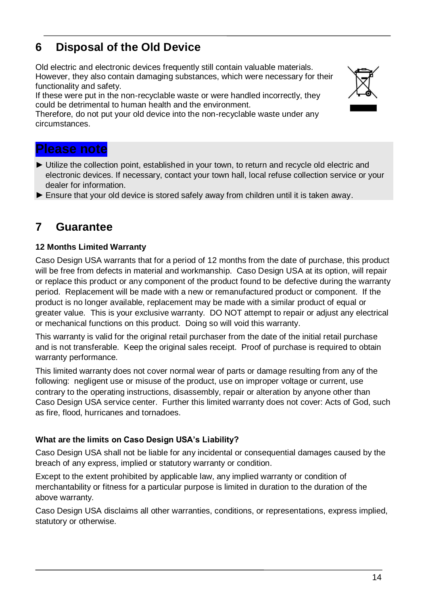#### 14

# **6 Disposal of the Old Device**

Old electric and electronic devices frequently still contain valuable materials. However, they also contain damaging substances, which were necessary for their functionality and safety.

If these were put in the non-recyclable waste or were handled incorrectly, they could be detrimental to human health and the environment.

Therefore, do not put your old device into the non-recyclable waste under any circumstances.

### **Please note**

- ► Utilize the collection point, established in your town, to return and recycle old electric and electronic devices. If necessary, contact your town hall, local refuse collection service or your dealer for information.
- ► Ensure that your old device is stored safely away from children until it is taken away.

# **7 Guarantee**

#### **12 Months Limited Warranty**

Caso Design USA warrants that for a period of 12 months from the date of purchase, this product will be free from defects in material and workmanship. Caso Design USA at its option, will repair or replace this product or any component of the product found to be defective during the warranty period. Replacement will be made with a new or remanufactured product or component. If the product is no longer available, replacement may be made with a similar product of equal or greater value. This is your exclusive warranty. DO NOT attempt to repair or adjust any electrical or mechanical functions on this product. Doing so will void this warranty.

This warranty is valid for the original retail purchaser from the date of the initial retail purchase and is not transferable. Keep the original sales receipt. Proof of purchase is required to obtain warranty performance.

This limited warranty does not cover normal wear of parts or damage resulting from any of the following: negligent use or misuse of the product, use on improper voltage or current, use contrary to the operating instructions, disassembly, repair or alteration by anyone other than Caso Design USA service center. Further this limited warranty does not cover: Acts of God, such as fire, flood, hurricanes and tornadoes.

#### **What are the limits on Caso Design USA's Liability?**

Caso Design USA shall not be liable for any incidental or consequential damages caused by the breach of any express, implied or statutory warranty or condition.

Except to the extent prohibited by applicable law, any implied warranty or condition of merchantability or fitness for a particular purpose is limited in duration to the duration of the above warranty.

Caso Design USA disclaims all other warranties, conditions, or representations, express implied, statutory or otherwise.